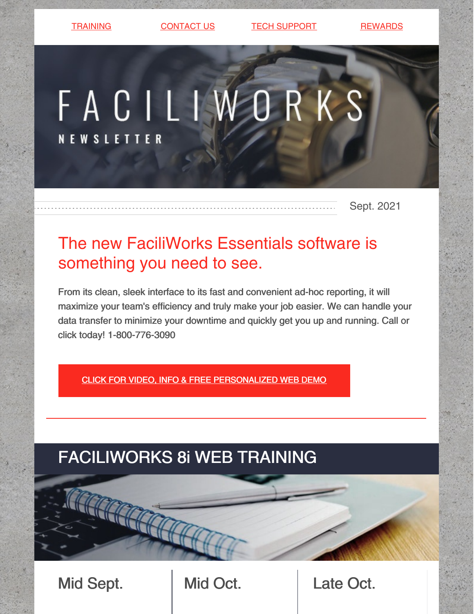[TRAINING](https://faciliworks.com/training-schedule/) [CONTACT](https://faciliworks.com/contact-us/) US TECH [SUPPORT](https://faciliworks.com/support/) [REWARDS](https://cybermetrics.com/referral-rewards/)

# FACILIWORKS **NEW SLETTER**

Sept. 2021

## The new FaciliWorks Essentials software is something you need to see.

From its clean, sleek interface to its fast and convenient ad-hoc reporting, it will maximize your team's efficiency and truly make your job easier. We can handle your data transfer to minimize your downtime and quickly get you up and running. Call or click today! 1-800-776-3090

CLICK FOR VIDEO, INFO & FREE [PERSONALIZED](https://faciliworks.com/essentials-upgrade/) WEB DEMO

# FACILIWORKS 8i WEB TRAINING

Mid Sept. Nid Oct. Late Oct.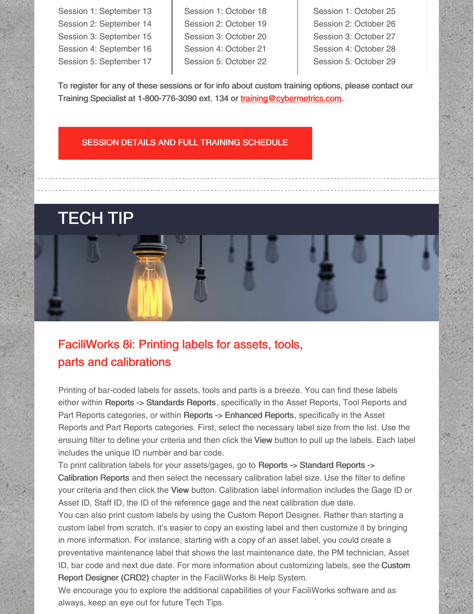Session 1: September 13 Session 2: September 14 Session 3: September 15 Session 4: September 16 Session 5: September 17

Session 1: October 18 Session 2: October 19 Session 3: October 20 Session 4: October 21 Session 5: October 22

Session 1: October 25 Session 2: October 26 Session 3: October 27 Session 4: October 28 Session 5: October 29

To register for any of these sessions or for info about custom training options, please contact our Training Specialist at 1-800-776-3090 ext. 134 or [training@cybermetrics.com.](mailto:training@cybermetrics.com)

#### SESSION DETAILS AND FULL TRAINING [SCHEDULE](https://faciliworks.com/training-schedule/#web_training)

### TECH TIP

### FaciliWorks 8i: Printing labels for assets, tools, parts and calibrations

Printing of bar-coded labels for assets, tools and parts is a breeze. You can find these labels either within Reports -> Standards Reports, specifically in the Asset Reports, Tool Reports and Part Reports categories, or within Reports -> Enhanced Reports, specifically in the Asset Reports and Part Reports categories. First, select the necessary label size from the list. Use the ensuing filter to define your criteria and then click the View button to pull up the labels. Each label includes the unique ID number and bar code.

To print calibration labels for your assets/gages, go to Reports -> Standard Reports -> Calibration Reports and then select the necessary calibration label size. Use the filter to define your criteria and then click the View button. Calibration label information includes the Gage ID or Asset ID, Staff ID, the ID of the reference gage and the next calibration due date.

You can also print custom labels by using the Custom Report Designer. Rather than starting a custom label from scratch, it's easier to copy an existing label and then customize it by bringing in more information. For instance, starting with a copy of an asset label, you could create a preventative maintenance label that shows the last maintenance date, the PM technician, Asset ID, bar code and next due date. For more information about customizing labels, see the Custom Report Designer (CRD2) chapter in the FaciliWorks 8i Help System.

We encourage you to explore the additional capabilities of your FaciliWorks software and as always, keep an eye out for future Tech Tips.